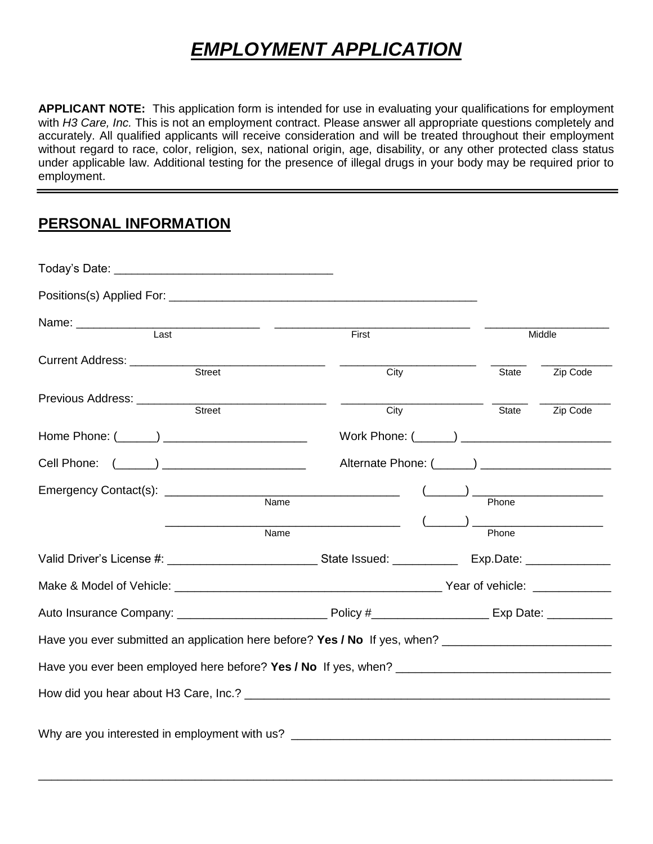# *EMPLOYMENT APPLICATION*

**APPLICANT NOTE:** This application form is intended for use in evaluating your qualifications for employment with *H3 Care, Inc.* This is not an employment contract. Please answer all appropriate questions completely and accurately. All qualified applicants will receive consideration and will be treated throughout their employment without regard to race, color, religion, sex, national origin, age, disability, or any other protected class status under applicable law. Additional testing for the presence of illegal drugs in your body may be required prior to employment.

#### **PERSONAL INFORMATION**

| Positions(s) Applied For: <b>All Access Positions</b> (s) Applied For:                                         |       |       |          |
|----------------------------------------------------------------------------------------------------------------|-------|-------|----------|
| Last                                                                                                           | First |       | Middle   |
| Street                                                                                                         | City  | State | Zip Code |
|                                                                                                                | City  | State | Zip Code |
|                                                                                                                |       |       |          |
|                                                                                                                |       |       |          |
|                                                                                                                | Name  | Phone |          |
| Name                                                                                                           |       | Phone |          |
|                                                                                                                |       |       |          |
|                                                                                                                |       |       |          |
|                                                                                                                |       |       |          |
| Have you ever submitted an application here before? Yes / No If yes, when? ___________________________________ |       |       |          |
|                                                                                                                |       |       |          |
|                                                                                                                |       |       |          |
| Why are you interested in employment with us? __________________________________                               |       |       |          |

\_\_\_\_\_\_\_\_\_\_\_\_\_\_\_\_\_\_\_\_\_\_\_\_\_\_\_\_\_\_\_\_\_\_\_\_\_\_\_\_\_\_\_\_\_\_\_\_\_\_\_\_\_\_\_\_\_\_\_\_\_\_\_\_\_\_\_\_\_\_\_\_\_\_\_\_\_\_\_\_\_\_\_\_\_\_\_\_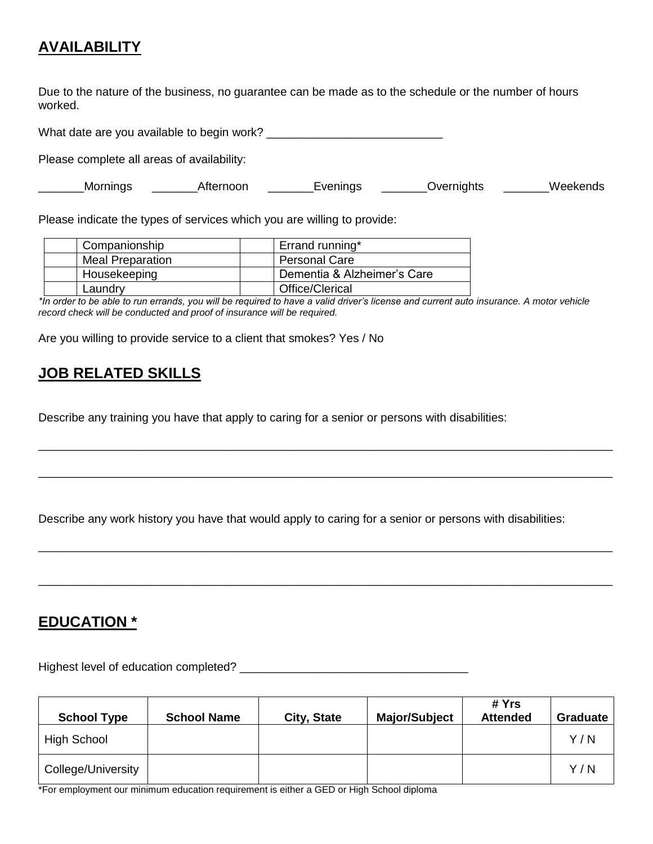# **AVAILABILITY**

Due to the nature of the business, no guarantee can be made as to the schedule or the number of hours worked.

What date are you available to begin work? \_\_\_\_\_\_\_\_\_\_\_\_\_\_\_\_\_\_\_\_\_\_\_\_\_\_\_

Please complete all areas of availability:

| Mornings | ternoon | 1000000000 | <b>D</b> vernights | .<br>AA<br>$T$ .<br>50 N.S |
|----------|---------|------------|--------------------|----------------------------|
|----------|---------|------------|--------------------|----------------------------|

Please indicate the types of services which you are willing to provide:

| Companionship           | Errand running*             |
|-------------------------|-----------------------------|
| <b>Meal Preparation</b> | <b>Personal Care</b>        |
| Housekeeping            | Dementia & Alzheimer's Care |
| Laundrv                 | Office/Clerical             |

*\*In order to be able to run errands, you will be required to have a valid driver's license and current auto insurance. A motor vehicle record check will be conducted and proof of insurance will be required.*

\_\_\_\_\_\_\_\_\_\_\_\_\_\_\_\_\_\_\_\_\_\_\_\_\_\_\_\_\_\_\_\_\_\_\_\_\_\_\_\_\_\_\_\_\_\_\_\_\_\_\_\_\_\_\_\_\_\_\_\_\_\_\_\_\_\_\_\_\_\_\_\_\_\_\_\_\_\_\_\_\_\_\_\_\_\_\_\_

\_\_\_\_\_\_\_\_\_\_\_\_\_\_\_\_\_\_\_\_\_\_\_\_\_\_\_\_\_\_\_\_\_\_\_\_\_\_\_\_\_\_\_\_\_\_\_\_\_\_\_\_\_\_\_\_\_\_\_\_\_\_\_\_\_\_\_\_\_\_\_\_\_\_\_\_\_\_\_\_\_\_\_\_\_\_\_\_

\_\_\_\_\_\_\_\_\_\_\_\_\_\_\_\_\_\_\_\_\_\_\_\_\_\_\_\_\_\_\_\_\_\_\_\_\_\_\_\_\_\_\_\_\_\_\_\_\_\_\_\_\_\_\_\_\_\_\_\_\_\_\_\_\_\_\_\_\_\_\_\_\_\_\_\_\_\_\_\_\_\_\_\_\_\_\_\_

\_\_\_\_\_\_\_\_\_\_\_\_\_\_\_\_\_\_\_\_\_\_\_\_\_\_\_\_\_\_\_\_\_\_\_\_\_\_\_\_\_\_\_\_\_\_\_\_\_\_\_\_\_\_\_\_\_\_\_\_\_\_\_\_\_\_\_\_\_\_\_\_\_\_\_\_\_\_\_\_\_\_\_\_\_\_\_\_

Are you willing to provide service to a client that smokes? Yes / No

# **JOB RELATED SKILLS**

Describe any training you have that apply to caring for a senior or persons with disabilities:

Describe any work history you have that would apply to caring for a senior or persons with disabilities:

#### **EDUCATION \***

Highest level of education completed? \_\_\_\_\_\_\_\_\_\_\_\_\_\_\_\_\_\_\_\_\_\_\_\_\_\_\_\_\_\_\_\_\_\_\_

| <b>School Type</b> | <b>School Name</b> | City, State | <b>Major/Subject</b> | # Yrs<br><b>Attended</b> | <b>Graduate</b> |
|--------------------|--------------------|-------------|----------------------|--------------------------|-----------------|
| <b>High School</b> |                    |             |                      |                          | Y/N             |
| College/University |                    |             |                      |                          | Y/N             |

\*For employment our minimum education requirement is either a GED or High School diploma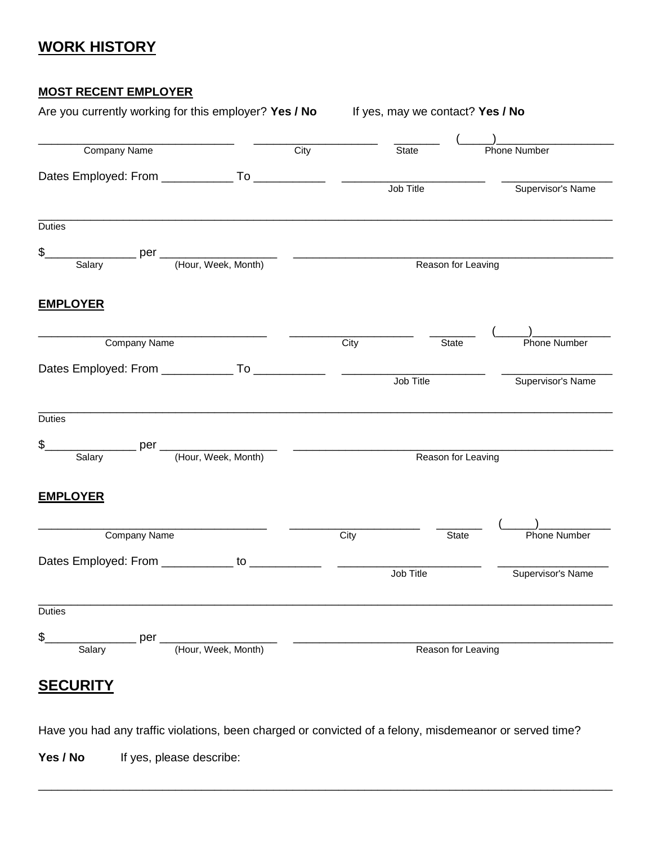### **WORK HISTORY**

#### **MOST RECENT EMPLOYER**

| Are you currently working for this employer? Yes / No If yes, may we contact? Yes / No |      |                      |                              |  |
|----------------------------------------------------------------------------------------|------|----------------------|------------------------------|--|
|                                                                                        |      |                      |                              |  |
| <b>Company Name</b>                                                                    | City | State                | Phone Number                 |  |
|                                                                                        |      |                      |                              |  |
|                                                                                        |      | Job Title            | Supervisor's Name            |  |
| <b>Duties</b>                                                                          |      |                      |                              |  |
| \$.                                                                                    |      |                      |                              |  |
| Salary per (Hour, Week, Month)                                                         |      |                      | Reason for Leaving           |  |
| <b>EMPLOYER</b>                                                                        |      |                      |                              |  |
| Company Name                                                                           |      | City<br><b>State</b> | Phone Number                 |  |
|                                                                                        |      |                      |                              |  |
|                                                                                        |      | Job Title            | Supervisor's Name            |  |
| <b>Duties</b>                                                                          |      |                      |                              |  |
|                                                                                        |      |                      |                              |  |
| Salary per (Hour, Week, Month)<br>\$.                                                  |      | Reason for Leaving   |                              |  |
| <b>EMPLOYER</b>                                                                        |      |                      |                              |  |
| Company Name                                                                           | City |                      | Phone Number<br><b>State</b> |  |
|                                                                                        |      |                      |                              |  |
|                                                                                        |      | Job Title            | Supervisor's Name            |  |
| <b>Duties</b>                                                                          |      |                      |                              |  |
| \$.<br>$per_$                                                                          |      |                      |                              |  |
| (Hour, Week, Month)<br>Salary                                                          |      | Reason for Leaving   |                              |  |
| <b>SECURITY</b>                                                                        |      |                      |                              |  |

Have you had any traffic violations, been charged or convicted of a felony, misdemeanor or served time?

\_\_\_\_\_\_\_\_\_\_\_\_\_\_\_\_\_\_\_\_\_\_\_\_\_\_\_\_\_\_\_\_\_\_\_\_\_\_\_\_\_\_\_\_\_\_\_\_\_\_\_\_\_\_\_\_\_\_\_\_\_\_\_\_\_\_\_\_\_\_\_\_\_\_\_\_\_\_\_\_\_\_\_\_\_\_\_\_

Yes / No If yes, please describe: